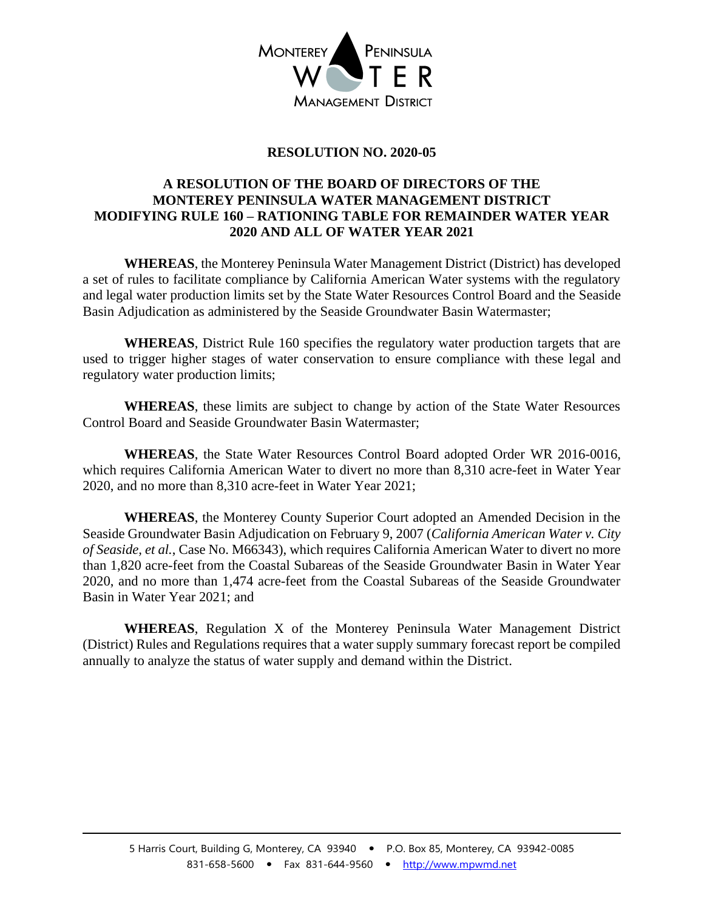

## **RESOLUTION NO. 2020-05**

## **A RESOLUTION OF THE BOARD OF DIRECTORS OF THE MONTEREY PENINSULA WATER MANAGEMENT DISTRICT MODIFYING RULE 160 – RATIONING TABLE FOR REMAINDER WATER YEAR 2020 AND ALL OF WATER YEAR 2021**

**WHEREAS**, the Monterey Peninsula Water Management District (District) has developed a set of rules to facilitate compliance by California American Water systems with the regulatory and legal water production limits set by the State Water Resources Control Board and the Seaside Basin Adjudication as administered by the Seaside Groundwater Basin Watermaster;

**WHEREAS**, District Rule 160 specifies the regulatory water production targets that are used to trigger higher stages of water conservation to ensure compliance with these legal and regulatory water production limits;

**WHEREAS**, these limits are subject to change by action of the State Water Resources Control Board and Seaside Groundwater Basin Watermaster;

**WHEREAS**, the State Water Resources Control Board adopted Order WR 2016-0016, which requires California American Water to divert no more than 8,310 acre-feet in Water Year 2020, and no more than 8,310 acre-feet in Water Year 2021;

**WHEREAS**, the Monterey County Superior Court adopted an Amended Decision in the Seaside Groundwater Basin Adjudication on February 9, 2007 (*California American Water v. City of Seaside, et al.*, Case No. M66343), which requires California American Water to divert no more than 1,820 acre-feet from the Coastal Subareas of the Seaside Groundwater Basin in Water Year 2020, and no more than 1,474 acre-feet from the Coastal Subareas of the Seaside Groundwater Basin in Water Year 2021; and

**WHEREAS**, Regulation X of the Monterey Peninsula Water Management District (District) Rules and Regulations requires that a water supply summary forecast report be compiled annually to analyze the status of water supply and demand within the District.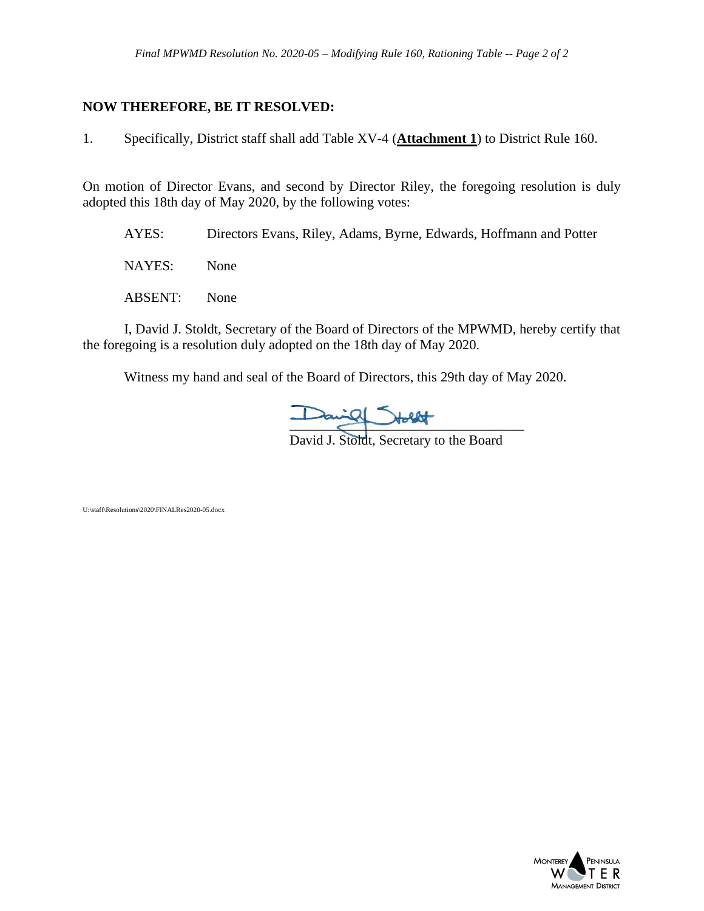## **NOW THEREFORE, BE IT RESOLVED:**

1. Specifically, District staff shall add Table XV-4 (**Attachment 1**) to District Rule 160.

On motion of Director Evans, and second by Director Riley, the foregoing resolution is duly adopted this 18th day of May 2020, by the following votes:

AYES: Directors Evans, Riley, Adams, Byrne, Edwards, Hoffmann and Potter

NAYES: None

ABSENT: None

I, David J. Stoldt, Secretary of the Board of Directors of the MPWMD, hereby certify that the foregoing is a resolution duly adopted on the 18th day of May 2020.

Witness my hand and seal of the Board of Directors, this 29th day of May 2020.

 $\frac{1}{2}$ 

David J. Stoldt, Secretary to the Board

U:\staff\Resolutions\2020\FINALRes2020-05.docx